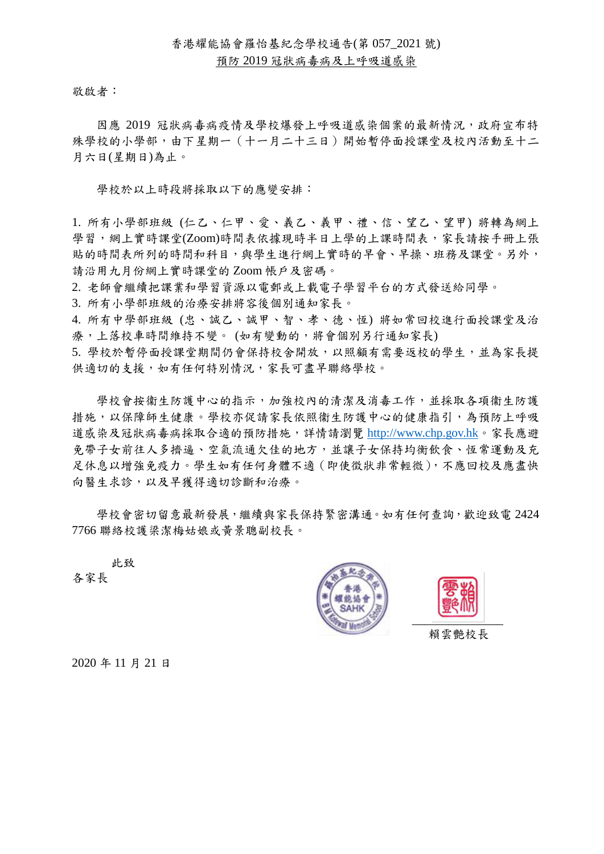## 香港耀能協會羅怡基紀念學校通告(第 057\_2021 號)

## 預防 2019 冠狀病毒病及上呼吸道感染

敬啟者:

因應 2019 冠狀病毒病疫情及學校爆發上呼吸道感染個案的最新情況,政府宣布特 殊學校的小學部,由下星期一(十一月二十三日)開始暫停面授課堂及校內活動至十二 月六日(星期日)為止。

學校於以上時段將採取以下的應變安排:

1. 所有小學部班級 (仁乙、仁甲、愛、義乙、義甲、禮、信、望乙、望甲) 將轉為網上 學習,網上實時課堂(Zoom)時間表依據現時半日上學的上課時間表,家長請按手冊上張 貼的時間表所列的時間和科目,與學生進行網上實時的早會、早操、班務及課堂。另外, 請沿用九月份網上實時課堂的 Zoom 帳戶及密碼。

2. 老師會繼續把課業和學習資源以電郵或上載電子學習平台的方式發送給同學。

3. 所有小學部班級的治療安排將容後個別通知家長。

4. 所有中學部班級 (忠、誠乙、誠甲、智、孝、德、恆) 將如常回校進行面授課堂及治 療,上落校車時間維持不變。 (如有變動的,將會個別另行通知家長)

5. 學校於暫停面授課堂期間仍會保持校舍開放,以照顧有需要返校的學生,並為家長提 供適切的支援,如有任何特別情況,家長可盡早聯絡學校。

學校會按衞生防護中心的指示,加強校內的清潔及消毒工作,並採取各項衞生防護 措施,以保障師生健康。學校亦促請家長依照衞生防護中心的健康指引,為預防上呼吸 道感染及冠狀病毒病採取合適的預防措施,詳情請瀏覽 [http://www.chp.gov.hk](http://www.chp.gov.hk/)。家長應避 免帶子女前往人多擠逼、空氣流通欠佳的地方,並讓子女保持均衡飲食、恆常運動及充 足休息以增強免疫力。學生如有任何身體不適(即使徵狀非常輕微),不應回校及應盡快 向醫生求診,以及早獲得適切診斷和治療。

學校會密切留意最新發展,繼續與家長保持緊密溝通。如有任何查詢,歡迎致電 2424 7766 聯絡校護梁潔梅姑娘或黃景聰副校長。

此致

各家長





賴雲艷校長

2020 年 11 月 21 日